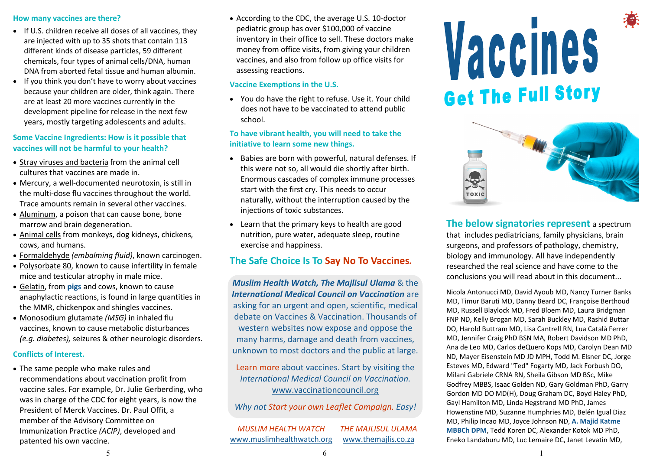### How many vaccines are there?

- If U.S. children receive all doses of all vaccines, they are injected with up to 35 shots that contain 113 different kinds of disease particles, 59 different chemicals, four types of animal cells/DNA, human DNA from aborted fetal tissue and human albumin.
- If you think you don't have to worry about vaccines because your children are older, think again. There are at least 20 more vaccines currently in the development pipeline for release in the next few years, mostly targeting adolescents and adults.

### Some Vaccine Ingredients: How is it possible that vaccines will not be harmful to your health?

- Stray viruses and bacteria from the animal cell cultures that vaccines are made in.
- Mercury, a well-documented neurotoxin, is still in the multi-dose flu vaccines throughout the world. Trace amounts remain in several other vaccines.
- Aluminum, a poison that can cause bone, bone marrow and brain degeneration.
- Animal cells from monkeys, dog kidneys, chickens, cows, and humans.
- Formaldehyde *(embalming fluid)*, known carcinogen.
- Polysorbate 80, known to cause infertility in female mice and testicular atrophy in male mice.
- Gelatin, from **pigs** and cows, known to cause anaphylactic reactions, is found in large quantities in the MMR, chickenpox and shingles vaccines.
- Monosodium glutamate *(MSG)* in inhaled flu vaccines, known to cause metabolic disturbances *(e.g. diabetes),* seizures & other neurologic disorders.

### Conflicts of Interest.

 The same people who make rules and recommendations about vaccination profit from vaccine sales. For example, Dr. Julie Gerberding, who was in charge of the CDC for eight years, is now the President of Merck Vaccines. Dr. Paul Offit, a member of the Advisory Committee on Immunization Practice *(ACIP)*, developed and patented his own vaccine.

 According to the CDC, the average U.S. 10-doctor pediatric group has over \$100,000 of vaccine inventory in their office to sell. These doctors make money from office visits, from giving your children vaccines, and also from follow up office visits for assessing reactions.

#### Vaccine Exemptions in the U.S.

 You do have the right to refuse. Use it. Your child does not have to be vaccinated to attend public school.

### To have vibrant health, you will need to take the initiative to learn some new things.

- Babies are born with powerful, natural defenses. If this were not so, all would die shortly after birth. Enormous cascades of complex immune processes start with the first cry. This needs to occur naturally, without the interruption caused by the injections of toxic substances.
- Learn that the primary keys to health are good nutrition, pure water, adequate sleep, routine exercise and happiness.

# The Safe Choice Is To Say No To Vaccines*.*

*Muslim Health Watch, The Majlisul Ulama* & the *International Medical Council on Vaccination* are asking for an urgent and open, scientific, medical debate on Vaccines & Vaccination. Thousands of western websites now expose and oppose the many harms, damage and death from vaccines, unknown to most doctors and the public at large.

Learn more about vaccines. Start by visiting the *International Medical Council on Vaccination.*  www.vaccinationcouncil.org

*Why not Start your own Leaflet Campaign. Easy!*

*MUSLIM HEALTH WATCH* www.muslimhealthwatch.org *THE MAJLISUL ULAMA* www.themajlis.co.za





The below signatories represent a spectrum that includes pediatricians, family physicians, brain surgeons, and professors of pathology, chemistry, biology and immunology. All have independently researched the real science and have come to the conclusions you will read about in this document...

Nicola Antonucci MD, David Ayoub MD, Nancy Turner Banks MD, Timur Baruti MD, Danny Beard DC, Françoise Berthoud MD, Russell Blaylock MD, Fred Bloem MD, Laura Bridgman FNP ND, Kelly Brogan MD, Sarah Buckley MD, Rashid Buttar DO, Harold Buttram MD, Lisa Cantrell RN, Lua Català Ferrer MD, Jennifer Craig PhD BSN MA, Robert Davidson MD PhD, Ana de Leo MD, Carlos deQuero Kops MD, Carolyn Dean MD ND, Mayer Eisenstein MD JD MPH, Todd M. Elsner DC, Jorge Esteves MD, Edward "Ted" Fogarty MD, Jack Forbush DO, Milani Gabriele CRNA RN, Sheila Gibson MD BSc, Mike Godfrey MBBS, Isaac Golden ND, Gary Goldman PhD, Garry Gordon MD DO MD(H), Doug Graham DC, Boyd Haley PhD, Gayl Hamilton MD, Linda Hegstrand MD PhD, James Howenstine MD, Suzanne Humphries MD, Belén Igual Diaz MD, Philip Incao MD, Joyce Johnson ND, A. Majid Katme MBBCh DPM, Tedd Koren DC, Alexander Kotok MD PhD, Eneko Landaburu MD, Luc Lemaire DC, Janet Levatin MD,